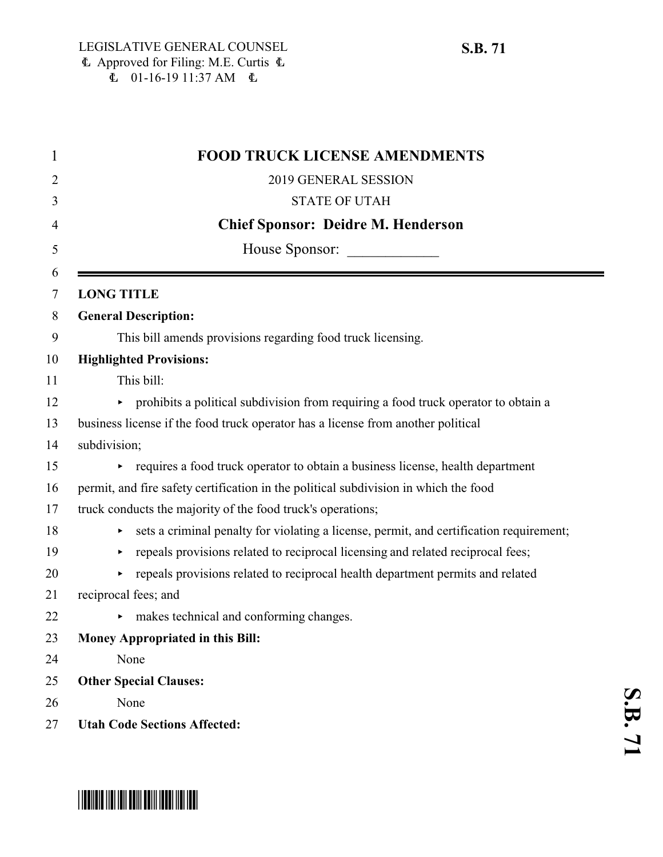| <b>FOOD TRUCK LICENSE AMENDMENTS</b>                                                         |
|----------------------------------------------------------------------------------------------|
| 2019 GENERAL SESSION                                                                         |
| <b>STATE OF UTAH</b>                                                                         |
| <b>Chief Sponsor: Deidre M. Henderson</b>                                                    |
| House Sponsor:                                                                               |
| <b>LONG TITLE</b>                                                                            |
| <b>General Description:</b>                                                                  |
| This bill amends provisions regarding food truck licensing.                                  |
| <b>Highlighted Provisions:</b>                                                               |
| This bill:                                                                                   |
| prohibits a political subdivision from requiring a food truck operator to obtain a           |
| business license if the food truck operator has a license from another political             |
| subdivision;                                                                                 |
| requires a food truck operator to obtain a business license, health department               |
| permit, and fire safety certification in the political subdivision in which the food         |
| truck conducts the majority of the food truck's operations;                                  |
| sets a criminal penalty for violating a license, permit, and certification requirement;<br>▶ |
| repeals provisions related to reciprocal licensing and related reciprocal fees;<br>▶         |
| repeals provisions related to reciprocal health department permits and related<br>▶          |
| reciprocal fees; and                                                                         |
| makes technical and conforming changes.<br>Þ.                                                |
| <b>Money Appropriated in this Bill:</b>                                                      |
| None                                                                                         |
| <b>Other Special Clauses:</b>                                                                |
| None                                                                                         |
| <b>Utah Code Sections Affected:</b>                                                          |

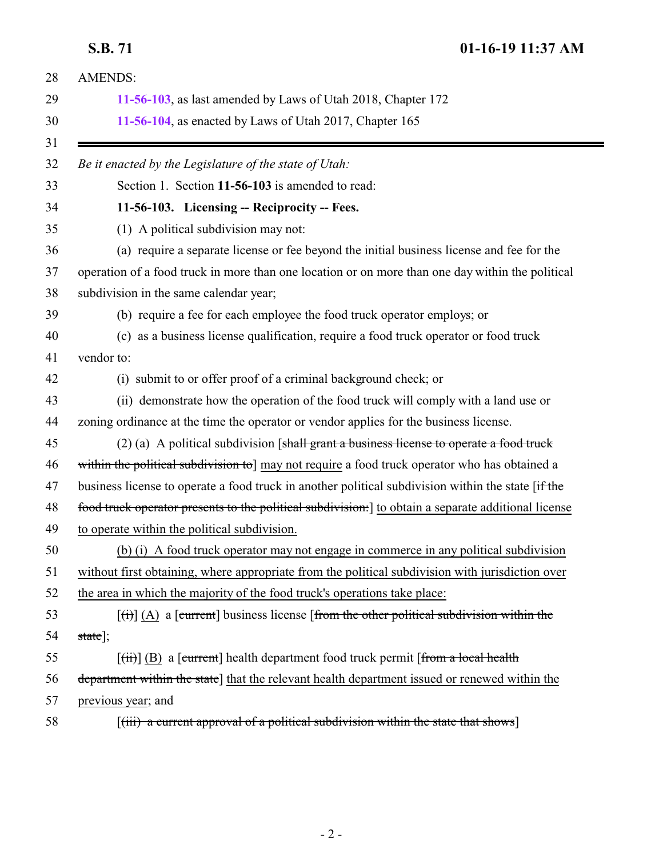<span id="page-1-0"></span>**S.B. 71 01-16-19 11:37 AM**

| <b>AMENDS:</b>                                                                                                            |
|---------------------------------------------------------------------------------------------------------------------------|
| 11-56-103, as last amended by Laws of Utah 2018, Chapter 172                                                              |
| 11-56-104, as enacted by Laws of Utah 2017, Chapter 165                                                                   |
| Be it enacted by the Legislature of the state of Utah:                                                                    |
| Section 1. Section 11-56-103 is amended to read:                                                                          |
| 11-56-103. Licensing -- Reciprocity -- Fees.                                                                              |
| (1) A political subdivision may not:                                                                                      |
| (a) require a separate license or fee beyond the initial business license and fee for the                                 |
| operation of a food truck in more than one location or on more than one day within the political                          |
| subdivision in the same calendar year;                                                                                    |
| (b) require a fee for each employee the food truck operator employs; or                                                   |
| (c) as a business license qualification, require a food truck operator or food truck                                      |
| vendor to:                                                                                                                |
| (i) submit to or offer proof of a criminal background check; or                                                           |
| (ii) demonstrate how the operation of the food truck will comply with a land use or                                       |
| zoning ordinance at the time the operator or vendor applies for the business license.                                     |
| $(2)$ (a) A political subdivision [shall grant a business license to operate a food truck                                 |
| within the political subdivision to] may not require a food truck operator who has obtained a                             |
| business license to operate a food truck in another political subdivision within the state [if the                        |
| food truck operator presents to the political subdivision: 1 to obtain a separate additional license                      |
| to operate within the political subdivision.                                                                              |
| (b) (i) A food truck operator may not engage in commerce in any political subdivision                                     |
| without first obtaining, where appropriate from the political subdivision with jurisdiction over                          |
| the area in which the majority of the food truck's operations take place:                                                 |
| $\left[\left(\frac{1}{1}\right)\right]$ (A) a [current] business license [from the other political subdivision within the |
| $state$ ];                                                                                                                |
| $[\overrightarrow{tii}]$ (B) a [current] health department food truck permit [from a local health                         |
| department within the state] that the relevant health department issued or renewed within the                             |
| previous year; and                                                                                                        |
| $[(iii)$ a current approval of a political subdivision within the state that shows                                        |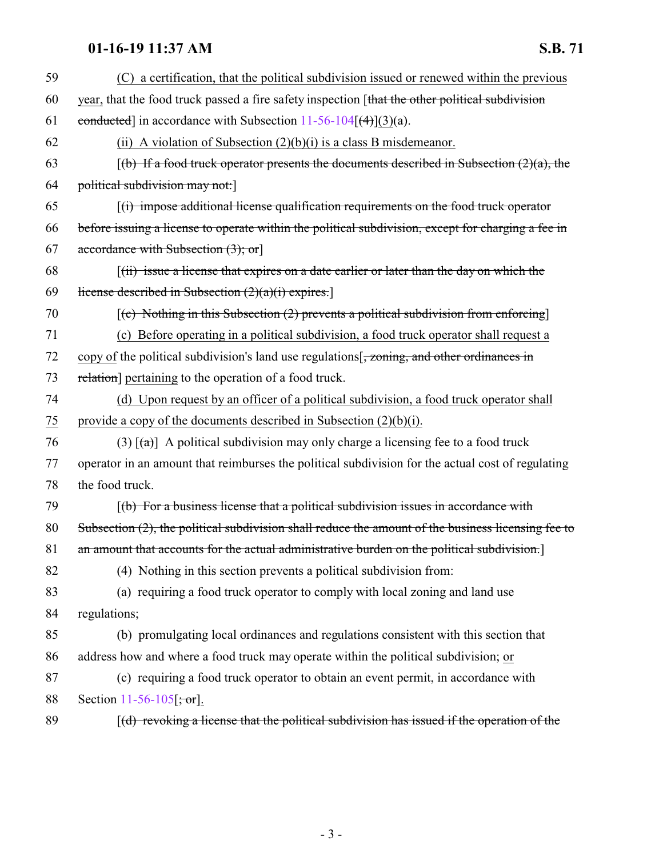## **01-16-19 11:37 AM S.B. 71**

| 59             | (C) a certification, that the political subdivision issued or renewed within the previous                      |
|----------------|----------------------------------------------------------------------------------------------------------------|
| 60             | year, that the food truck passed a fire safety inspection [that the other political subdivision                |
| 61             | conducted] in accordance with Subsection $11-56-104$ $(4)(3)(a)$ .                                             |
| 62             | (ii) A violation of Subsection $(2)(b)(i)$ is a class B misdemeanor.                                           |
| 63             | $\left[\frac{b}{b}\right]$ If a food truck operator presents the documents described in Subsection (2)(a), the |
| 64             | political subdivision may not:                                                                                 |
| 65             | $\left[\right(\mathbf{i})$ impose additional license qualification requirements on the food truck operator     |
| 66             | before issuing a license to operate within the political subdivision, except for charging a fee in             |
| 67             | accordance with Subsection $(3)$ ; or                                                                          |
| 68             | ((ii) issue a license that expires on a date earlier or later than the day on which the                        |
| 69             | license described in Subsection $(2)(a)(i)$ expires.                                                           |
| 70             | $(c)$ Nothing in this Subsection (2) prevents a political subdivision from enforcing                           |
| 71             | (c) Before operating in a political subdivision, a food truck operator shall request a                         |
| 72             | copy of the political subdivision's land use regulations $\frac{1}{2}$ , zoning, and other ordinances in       |
| 73             | relation] pertaining to the operation of a food truck.                                                         |
| 74             | (d) Upon request by an officer of a political subdivision, a food truck operator shall                         |
| $\frac{75}{2}$ | provide a copy of the documents described in Subsection $(2)(b)(i)$ .                                          |
| 76             | (3) $\lceil$ (a) A political subdivision may only charge a licensing fee to a food truck                       |
| 77             | operator in an amount that reimburses the political subdivision for the actual cost of regulating              |
| 78             | the food truck.                                                                                                |
| 79             | $[$ (b) For a business license that a political subdivision issues in accordance with                          |
| 80             | Subsection $(2)$ , the political subdivision shall reduce the amount of the business licensing fee to          |
| 81             | an amount that accounts for the actual administrative burden on the political subdivision.]                    |
| 82             | (4) Nothing in this section prevents a political subdivision from:                                             |
| 83             | (a) requiring a food truck operator to comply with local zoning and land use                                   |
| 84             | regulations;                                                                                                   |
| 85             | (b) promulgating local ordinances and regulations consistent with this section that                            |
| 86             | address how and where a food truck may operate within the political subdivision; or                            |
| 87             | (c) requiring a food truck operator to obtain an event permit, in accordance with                              |
| 88             | Section 11-56-105 $\frac{1}{2}$ , or                                                                           |
| 89             | $(d)$ revoking a license that the political subdivision has issued if the operation of the                     |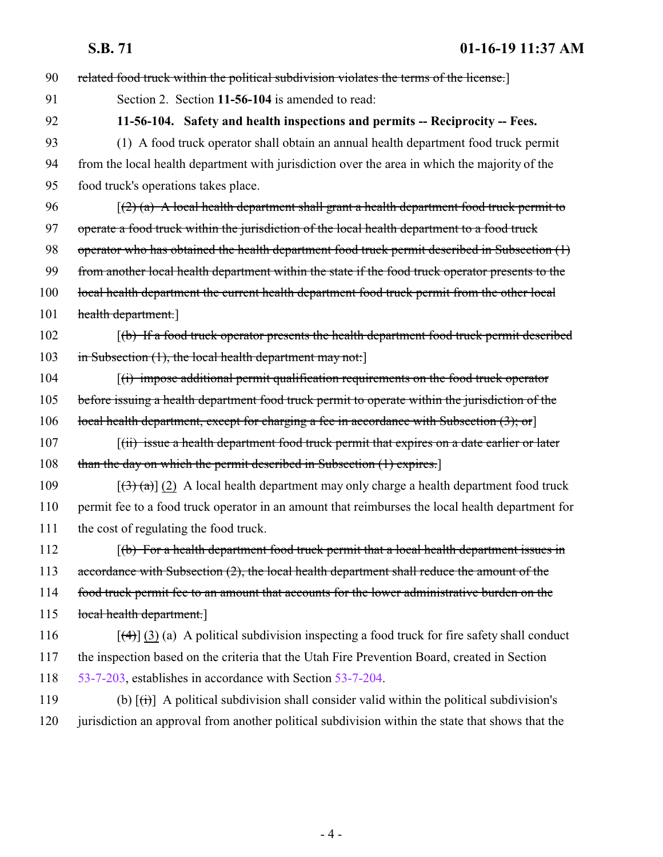<span id="page-3-0"></span>**S.B. 71 01-16-19 11:37 AM**

| 90  | related food truck within the political subdivision violates the terms of the license.]                      |
|-----|--------------------------------------------------------------------------------------------------------------|
| 91  | Section 2. Section 11-56-104 is amended to read:                                                             |
| 92  | 11-56-104. Safety and health inspections and permits -- Reciprocity -- Fees.                                 |
| 93  | (1) A food truck operator shall obtain an annual health department food truck permit                         |
| 94  | from the local health department with jurisdiction over the area in which the majority of the                |
| 95  | food truck's operations takes place.                                                                         |
| 96  | $(2)$ (a) A local health department shall grant a health department food truck permit to                     |
| 97  | operate a food truck within the jurisdiction of the local health department to a food truck                  |
| 98  | operator who has obtained the health department food truck permit described in Subsection (1)                |
| 99  | from another local health department within the state if the food truck operator presents to the             |
| 100 | local health department the current health department food truck permit from the other local                 |
| 101 | health department.                                                                                           |
| 102 | $\lceil$ (b) If a food truck operator presents the health department food truck permit described             |
| 103 | in Subsection (1), the local health department may not:                                                      |
| 104 | $(i)$ impose additional permit qualification requirements on the food truck operator                         |
| 105 | before issuing a health department food truck permit to operate within the jurisdiction of the               |
| 106 | local health department, except for charging a fee in accordance with Subsection $(3)$ ; or                  |
| 107 | $f(ii)$ issue a health department food truck permit that expires on a date earlier or later                  |
| 108 | than the day on which the permit described in Subsection (1) expires.                                        |
| 109 | $[(3)$ (a)] (2) A local health department may only charge a health department food truck                     |
| 110 | permit fee to a food truck operator in an amount that reimburses the local health department for             |
| 111 | the cost of regulating the food truck.                                                                       |
| 112 | (b) For a health department food truck permit that a local health department issues in                       |
| 113 | accordance with Subsection (2), the local health department shall reduce the amount of the                   |
| 114 | food truck permit fee to an amount that accounts for the lower administrative burden on the                  |
| 115 | local health department.]                                                                                    |
| 116 | $[\frac{4}{3}]$ (3) (a) A political subdivision inspecting a food truck for fire safety shall conduct        |
| 117 | the inspection based on the criteria that the Utah Fire Prevention Board, created in Section                 |
| 118 | 53-7-203, establishes in accordance with Section 53-7-204.                                                   |
| 119 | (b) $[\overrightarrow{(t)}]$ A political subdivision shall consider valid within the political subdivision's |
| 120 | jurisdiction an approval from another political subdivision within the state that shows that the             |
|     |                                                                                                              |